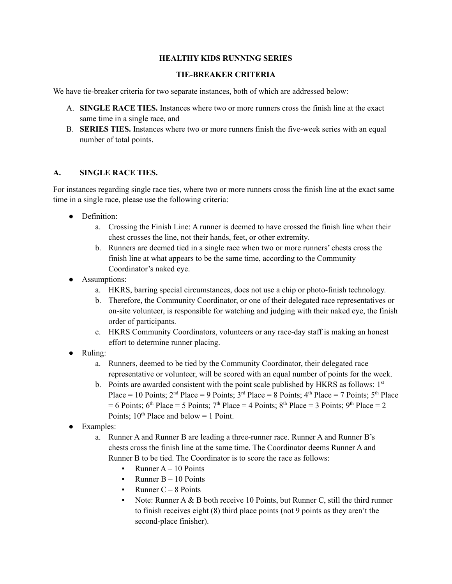## **HEALTHY KIDS RUNNING SERIES**

## **TIE-BREAKER CRITERIA**

We have tie-breaker criteria for two separate instances, both of which are addressed below:

- A. **SINGLE RACE TIES.** Instances where two or more runners cross the finish line at the exact same time in a single race, and
- B. **SERIES TIES.** Instances where two or more runners finish the five-week series with an equal number of total points.

#### **A. SINGLE RACE TIES.**

For instances regarding single race ties, where two or more runners cross the finish line at the exact same time in a single race, please use the following criteria:

- Definition:
	- a. Crossing the Finish Line: A runner is deemed to have crossed the finish line when their chest crosses the line, not their hands, feet, or other extremity.
	- b. Runners are deemed tied in a single race when two or more runners' chests cross the finish line at what appears to be the same time, according to the Community Coordinator's naked eye.
- Assumptions:
	- a. HKRS, barring special circumstances, does not use a chip or photo-finish technology.
	- b. Therefore, the Community Coordinator, or one of their delegated race representatives or on-site volunteer, is responsible for watching and judging with their naked eye, the finish order of participants.
	- c. HKRS Community Coordinators, volunteers or any race-day staff is making an honest effort to determine runner placing.
- Ruling:
	- a. Runners, deemed to be tied by the Community Coordinator, their delegated race representative or volunteer, will be scored with an equal number of points for the week.
	- b. Points are awarded consistent with the point scale published by HKRS as follows:  $1<sup>st</sup>$ Place = 10 Points;  $2<sup>nd</sup>$  Place = 9 Points;  $3<sup>rd</sup>$  Place = 8 Points;  $4<sup>th</sup>$  Place = 7 Points;  $5<sup>th</sup>$  Place  $= 6$  Points; 6<sup>th</sup> Place  $= 5$  Points; 7<sup>th</sup> Place  $= 4$  Points; 8<sup>th</sup> Place  $= 3$  Points; 9<sup>th</sup> Place  $= 2$ Points;  $10^{th}$  Place and below = 1 Point.
- Examples:
	- a. Runner A and Runner B are leading a three-runner race. Runner A and Runner B's chests cross the finish line at the same time. The Coordinator deems Runner A and Runner B to be tied. The Coordinator is to score the race as follows:
		- $\blacksquare$  Runner A 10 Points
		- **•** Runner  $B 10$  Points
		- $\blacksquare$  Runner C 8 Points
		- Note: Runner  $A \& B$  both receive 10 Points, but Runner C, still the third runner to finish receives eight (8) third place points (not 9 points as they aren't the second-place finisher).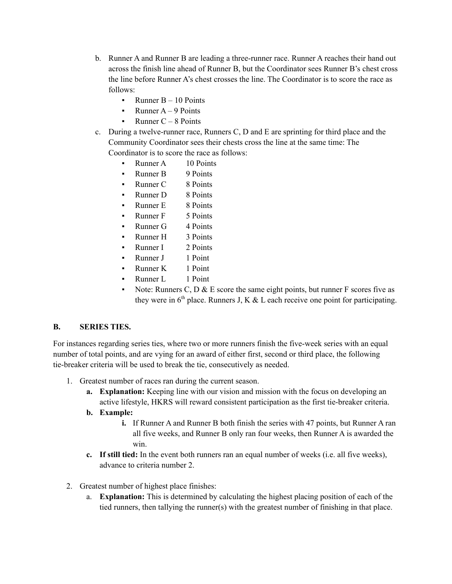- b. Runner A and Runner B are leading a three-runner race. Runner A reaches their hand out across the finish line ahead of Runner B, but the Coordinator sees Runner B's chest cross the line before Runner A's chest crosses the line. The Coordinator is to score the race as follows:
	- **•** Runner  $B 10$  Points
	- $\blacksquare$  Runner A 9 Points
	- **•** Runner  $C 8$  Points
- c. During a twelve-runner race, Runners C, D and E are sprinting for third place and the Community Coordinator sees their chests cross the line at the same time: The Coordinator is to score the race as follows:
	- Runner A 10 Points
	- Runner B 9 Points
	- Runner C 8 Points
	- Runner D 8 Points
	- Runner E 8 Points
	- Runner F 5 Points
	- $\text{Runner } G$  4 Points
	- Runner H 3 Points
	- Runner I 2 Points
	- Runner J 1 Point
	- Runner K 1 Point
	- Runner L 1 Point
	- Note: Runners C, D  $&$  E score the same eight points, but runner F scores five as they were in  $6<sup>th</sup>$  place. Runners J, K & L each receive one point for participating.

#### **B. SERIES TIES.**

For instances regarding series ties, where two or more runners finish the five-week series with an equal number of total points, and are vying for an award of either first, second or third place, the following tie-breaker criteria will be used to break the tie, consecutively as needed.

- 1. Greatest number of races ran during the current season.
	- **a. Explanation:** Keeping line with our vision and mission with the focus on developing an active lifestyle, HKRS will reward consistent participation as the first tie-breaker criteria.
	- **b. Example:**
		- **i.** If Runner A and Runner B both finish the series with 47 points, but Runner A ran all five weeks, and Runner B only ran four weeks, then Runner A is awarded the win.
	- **c. If still tied:** In the event both runners ran an equal number of weeks (i.e. all five weeks), advance to criteria number 2.
- 2. Greatest number of highest place finishes:
	- a. **Explanation:** This is determined by calculating the highest placing position of each of the tied runners, then tallying the runner(s) with the greatest number of finishing in that place.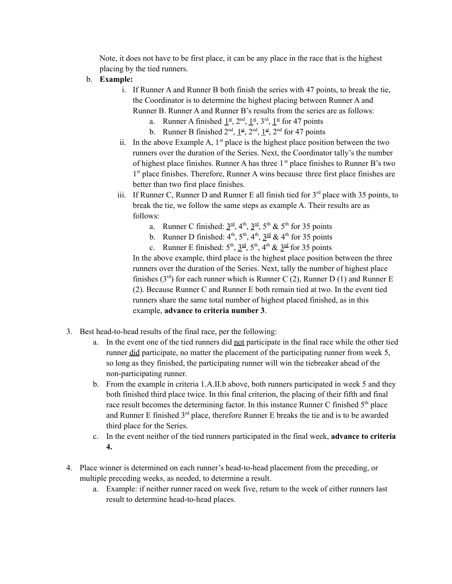Note, it does not have to be first place, it can be any place in the race that is the highest placing by the tied runners.

- b. **Example:**
	- i. If Runner A and Runner B both finish the series with 47 points, to break the tie, the Coordinator is to determine the highest placing between Runner A and Runner B. Runner A and Runner B's results from the series are as follows:
		- a. Runner A finished  $1<sup>st</sup>$ ,  $2<sup>nd</sup>$ ,  $1<sup>st</sup>$ ,  $3<sup>rd</sup>$ ,  $1<sup>st</sup>$  for 47 points
		- b. Runner B finished  $2<sup>nd</sup>$ ,  $1<sup>st</sup>$ ,  $2<sup>nd</sup>$ ,  $1<sup>st</sup>$ ,  $2<sup>nd</sup>$  for 47 points
	- ii. In the above Example A,  $1<sup>st</sup>$  place is the highest place position between the two runners over the duration of the Series. Next, the Coordinator tally's the number of highest place finishes. Runner A has three 1<sup>st</sup> place finishes to Runner B's two 1<sup>st</sup> place finishes. Therefore, Runner A wins because three first place finishes are better than two first place finishes.
	- iii. If Runner C, Runner D and Runner E all finish tied for  $3<sup>rd</sup>$  place with 35 points, to break the tie, we follow the same steps as example A. Their results are as follows:
		- a. Runner C finished:  $3<sup>rd</sup>$ ,  $4<sup>th</sup>$ ,  $3<sup>rd</sup>$ ,  $5<sup>th</sup>$  &  $5<sup>th</sup>$  for 35 points
		- b. Runner D finished:  $4^{\text{th}}$ ,  $5^{\text{th}}$ ,  $4^{\text{th}}$ ,  $3^{\text{rd}}$  &  $4^{\text{th}}$  for 35 points
		- c. Runner E finished:  $5^{\text{th}}$ ,  $3^{\text{rd}}$ ,  $5^{\text{th}}$ ,  $4^{\text{th}}$  &  $3^{\text{rd}}$  for 35 points

In the above example, third place is the highest place position between the three runners over the duration of the Series. Next, tally the number of highest place finishes  $(3<sup>rd</sup>)$  for each runner which is Runner C (2), Runner D (1) and Runner E (2). Because Runner C and Runner E both remain tied at two. In the event tied runners share the same total number of highest placed finished, as in this example, **advance to criteria number 3**.

- 3. Best head-to-head results of the final race, per the following:
	- a. In the event one of the tied runners did not participate in the final race while the other tied runner did participate, no matter the placement of the participating runner from week 5, so long as they finished, the participating runner will win the tiebreaker ahead of the non-participating runner.
	- b. From the example in criteria 1.A.II.b above, both runners participated in week 5 and they both finished third place twice. In this final criterion, the placing of their fifth and final race result becomes the determining factor. In this instance Runner C finished  $5<sup>th</sup>$  place and Runner E finished 3<sup>rd</sup> place, therefore Runner E breaks the tie and is to be awarded third place for the Series.
	- c. In the event neither of the tied runners participated in the final week, **advance to criteria 4.**
- 4. Place winner is determined on each runner's head-to-head placement from the preceding, or multiple preceding weeks, as needed, to determine a result.
	- a. Example: if neither runner raced on week five, return to the week of either runners last result to determine head-to-head places.